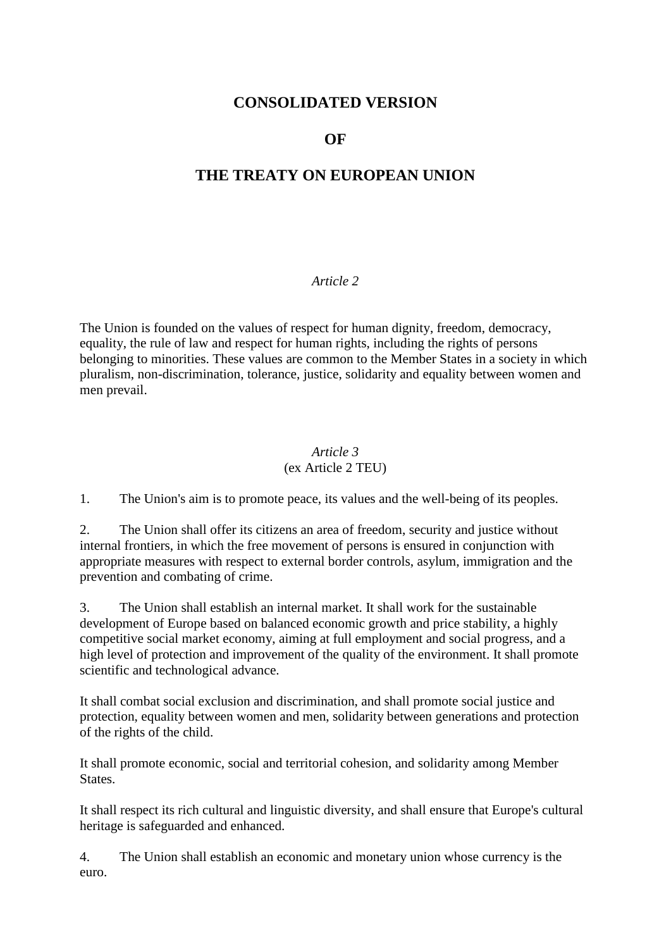# **CONSOLIDATED VERSION**

# **OF**

# **THE TREATY ON EUROPEAN UNION**

### *Article 2*

The Union is founded on the values of respect for human dignity, freedom, democracy, equality, the rule of law and respect for human rights, including the rights of persons belonging to minorities. These values are common to the Member States in a society in which pluralism, non-discrimination, tolerance, justice, solidarity and equality between women and men prevail.

### *Article 3* (ex Article 2 TEU)

1. The Union's aim is to promote peace, its values and the well-being of its peoples.

2. The Union shall offer its citizens an area of freedom, security and justice without internal frontiers, in which the free movement of persons is ensured in conjunction with appropriate measures with respect to external border controls, asylum, immigration and the prevention and combating of crime.

3. The Union shall establish an internal market. It shall work for the sustainable development of Europe based on balanced economic growth and price stability, a highly competitive social market economy, aiming at full employment and social progress, and a high level of protection and improvement of the quality of the environment. It shall promote scientific and technological advance.

It shall combat social exclusion and discrimination, and shall promote social justice and protection, equality between women and men, solidarity between generations and protection of the rights of the child.

It shall promote economic, social and territorial cohesion, and solidarity among Member States.

It shall respect its rich cultural and linguistic diversity, and shall ensure that Europe's cultural heritage is safeguarded and enhanced.

4. The Union shall establish an economic and monetary union whose currency is the euro.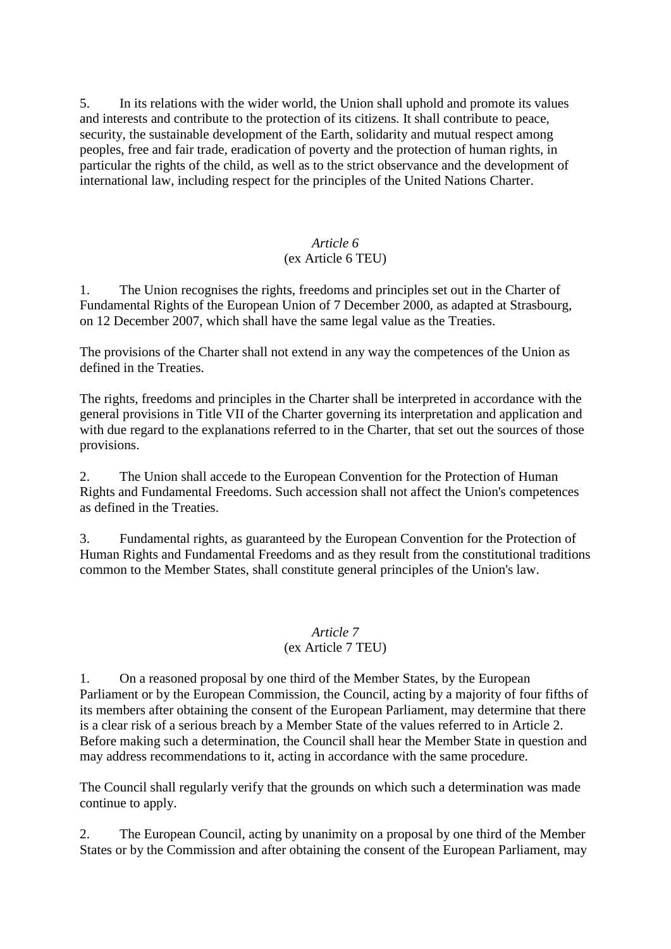5. In its relations with the wider world, the Union shall uphold and promote its values and interests and contribute to the protection of its citizens. It shall contribute to peace, security, the sustainable development of the Earth, solidarity and mutual respect among peoples, free and fair trade, eradication of poverty and the protection of human rights, in particular the rights of the child, as well as to the strict observance and the development of international law, including respect for the principles of the United Nations Charter.

#### *Article 6* (ex Article 6 TEU)

1. The Union recognises the rights, freedoms and principles set out in the Charter of Fundamental Rights of the European Union of 7 December 2000, as adapted at Strasbourg, on 12 December 2007, which shall have the same legal value as the Treaties.

The provisions of the Charter shall not extend in any way the competences of the Union as defined in the Treaties.

The rights, freedoms and principles in the Charter shall be interpreted in accordance with the general provisions in Title VII of the Charter governing its interpretation and application and with due regard to the explanations referred to in the Charter, that set out the sources of those provisions.

2. The Union shall accede to the European Convention for the Protection of Human Rights and Fundamental Freedoms. Such accession shall not affect the Union's competences as defined in the Treaties.

3. Fundamental rights, as guaranteed by the European Convention for the Protection of Human Rights and Fundamental Freedoms and as they result from the constitutional traditions common to the Member States, shall constitute general principles of the Union's law.

#### *Article 7* (ex Article 7 TEU)

1. On a reasoned proposal by one third of the Member States, by the European Parliament or by the European Commission, the Council, acting by a majority of four fifths of its members after obtaining the consent of the European Parliament, may determine that there is a clear risk of a serious breach by a Member State of the values referred to in Article 2. Before making such a determination, the Council shall hear the Member State in question and may address recommendations to it, acting in accordance with the same procedure.

The Council shall regularly verify that the grounds on which such a determination was made continue to apply.

2. The European Council, acting by unanimity on a proposal by one third of the Member States or by the Commission and after obtaining the consent of the European Parliament, may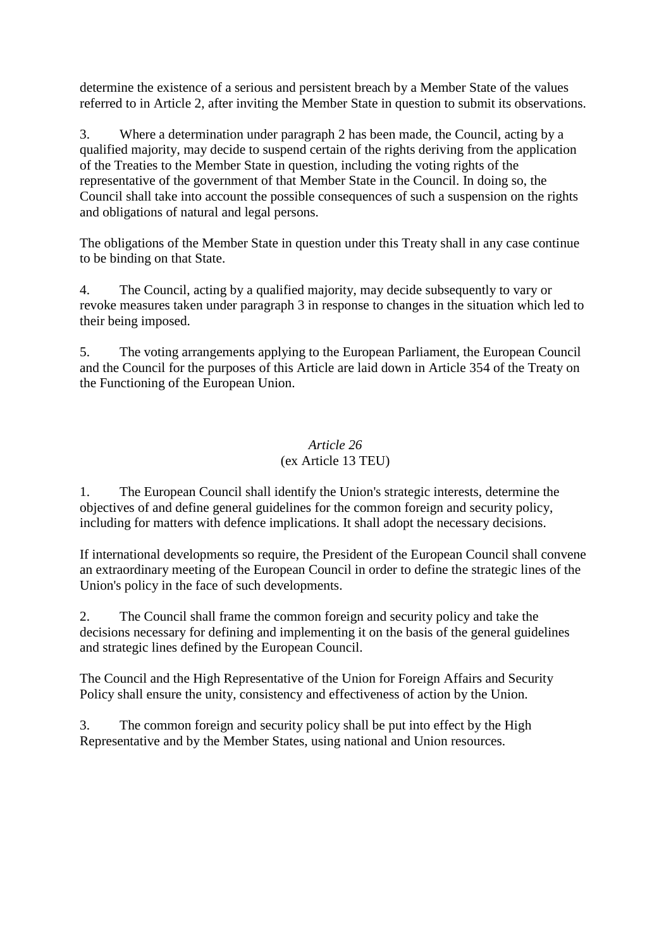determine the existence of a serious and persistent breach by a Member State of the values referred to in Article 2, after inviting the Member State in question to submit its observations.

3. Where a determination under paragraph 2 has been made, the Council, acting by a qualified majority, may decide to suspend certain of the rights deriving from the application of the Treaties to the Member State in question, including the voting rights of the representative of the government of that Member State in the Council. In doing so, the Council shall take into account the possible consequences of such a suspension on the rights and obligations of natural and legal persons.

The obligations of the Member State in question under this Treaty shall in any case continue to be binding on that State.

4. The Council, acting by a qualified majority, may decide subsequently to vary or revoke measures taken under paragraph 3 in response to changes in the situation which led to their being imposed.

5. The voting arrangements applying to the European Parliament, the European Council and the Council for the purposes of this Article are laid down in Article 354 of the Treaty on the Functioning of the European Union.

# *Article 26* (ex Article 13 TEU)

1. The European Council shall identify the Union's strategic interests, determine the objectives of and define general guidelines for the common foreign and security policy, including for matters with defence implications. It shall adopt the necessary decisions.

If international developments so require, the President of the European Council shall convene an extraordinary meeting of the European Council in order to define the strategic lines of the Union's policy in the face of such developments.

2. The Council shall frame the common foreign and security policy and take the decisions necessary for defining and implementing it on the basis of the general guidelines and strategic lines defined by the European Council.

The Council and the High Representative of the Union for Foreign Affairs and Security Policy shall ensure the unity, consistency and effectiveness of action by the Union.

3. The common foreign and security policy shall be put into effect by the High Representative and by the Member States, using national and Union resources.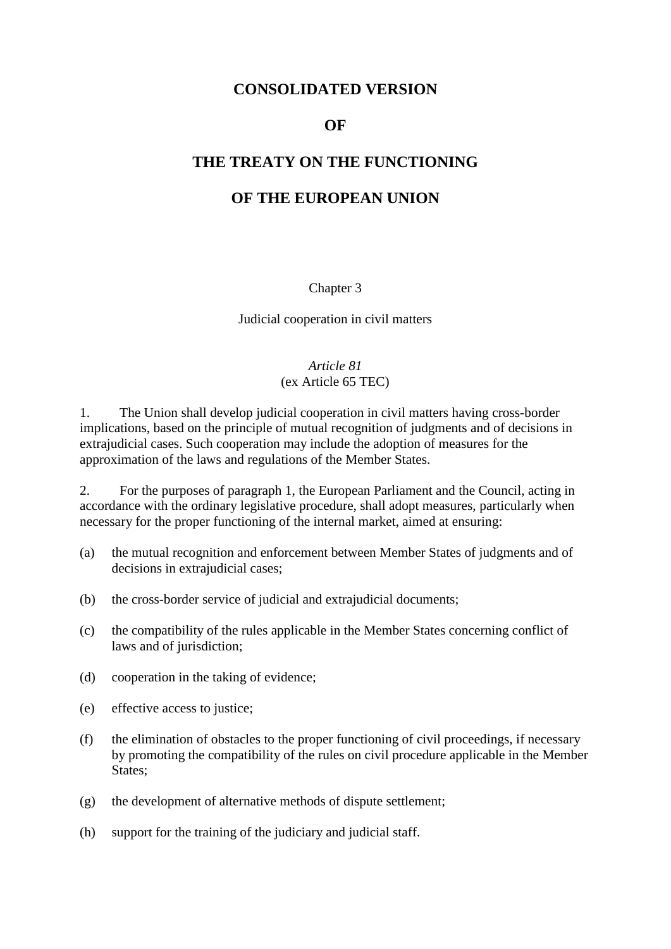# **CONSOLIDATED VERSION**

### **OF**

## **THE TREATY ON THE FUNCTIONING**

# **OF THE EUROPEAN UNION**

#### Chapter 3

#### Judicial cooperation in civil matters

# *Article 81*

# (ex Article 65 TEC)

1. The Union shall develop judicial cooperation in civil matters having cross-border implications, based on the principle of mutual recognition of judgments and of decisions in extrajudicial cases. Such cooperation may include the adoption of measures for the approximation of the laws and regulations of the Member States.

2. For the purposes of paragraph 1, the European Parliament and the Council, acting in accordance with the ordinary legislative procedure, shall adopt measures, particularly when necessary for the proper functioning of the internal market, aimed at ensuring:

- (a) the mutual recognition and enforcement between Member States of judgments and of decisions in extrajudicial cases;
- (b) the cross-border service of judicial and extrajudicial documents;
- (c) the compatibility of the rules applicable in the Member States concerning conflict of laws and of jurisdiction;
- (d) cooperation in the taking of evidence;
- (e) effective access to justice;
- (f) the elimination of obstacles to the proper functioning of civil proceedings, if necessary by promoting the compatibility of the rules on civil procedure applicable in the Member States;
- (g) the development of alternative methods of dispute settlement;
- (h) support for the training of the judiciary and judicial staff.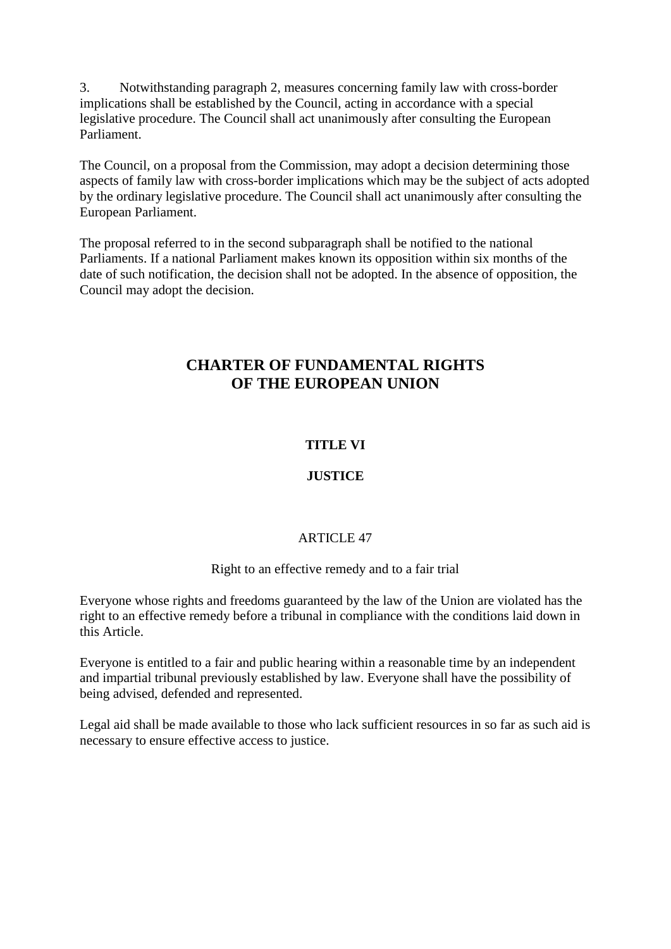3. Notwithstanding paragraph 2, measures concerning family law with cross-border implications shall be established by the Council, acting in accordance with a special legislative procedure. The Council shall act unanimously after consulting the European Parliament.

The Council, on a proposal from the Commission, may adopt a decision determining those aspects of family law with cross-border implications which may be the subject of acts adopted by the ordinary legislative procedure. The Council shall act unanimously after consulting the European Parliament.

The proposal referred to in the second subparagraph shall be notified to the national Parliaments. If a national Parliament makes known its opposition within six months of the date of such notification, the decision shall not be adopted. In the absence of opposition, the Council may adopt the decision.

# **CHARTER OF FUNDAMENTAL RIGHTS OF THE EUROPEAN UNION**

# **TITLE VI**

# **JUSTICE**

### ARTICLE 47

### Right to an effective remedy and to a fair trial

Everyone whose rights and freedoms guaranteed by the law of the Union are violated has the right to an effective remedy before a tribunal in compliance with the conditions laid down in this Article.

Everyone is entitled to a fair and public hearing within a reasonable time by an independent and impartial tribunal previously established by law. Everyone shall have the possibility of being advised, defended and represented.

Legal aid shall be made available to those who lack sufficient resources in so far as such aid is necessary to ensure effective access to justice.